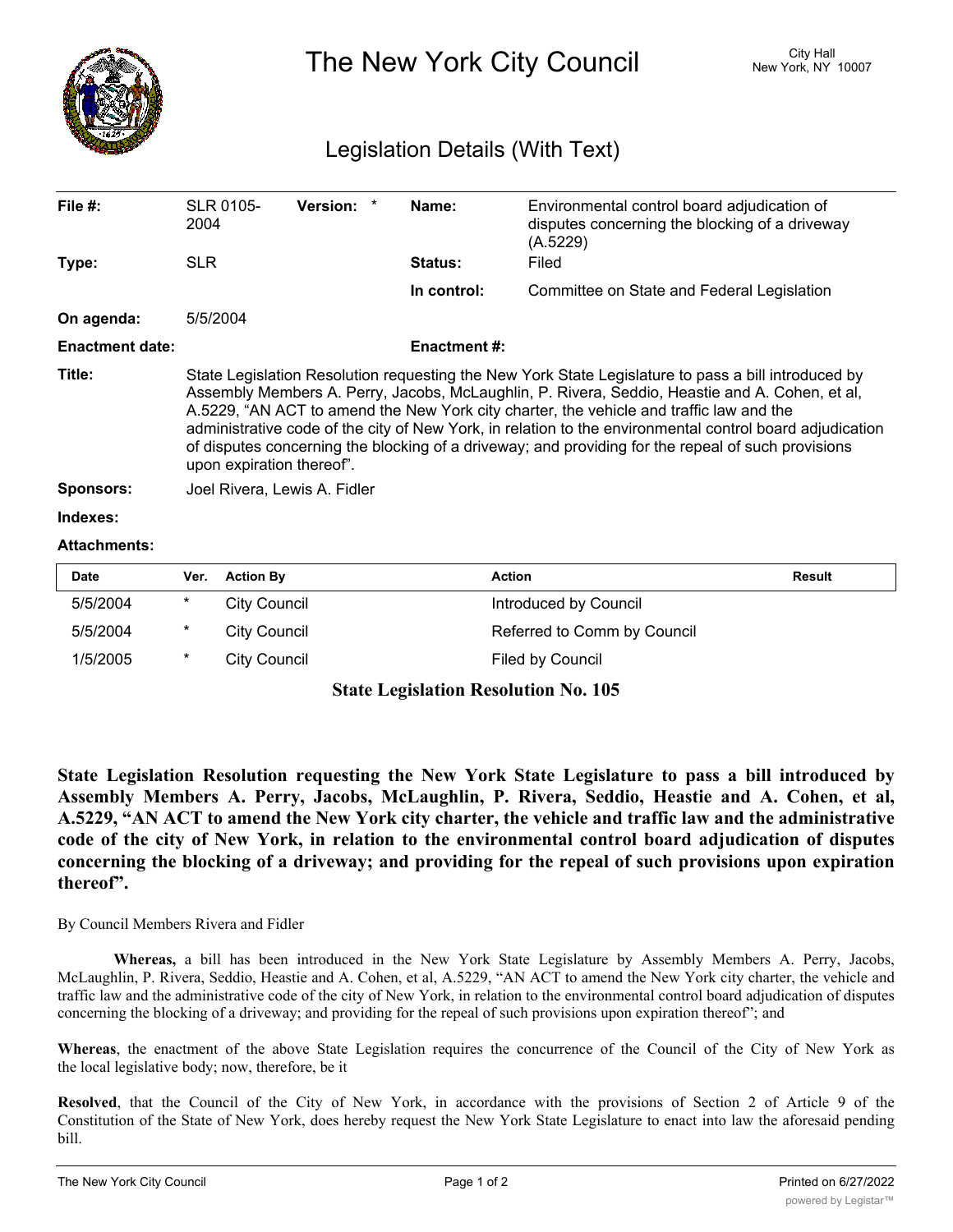

The New York City Council New York, NY 10007

## Legislation Details (With Text)

| File $#$ :             | SLR 0105-<br>2004                                                                                                                                                                                                                                                                                                                                                                                                                                                                                                                               | <b>Version:</b><br>$\ast$    | Name:               | Environmental control board adjudication of<br>disputes concerning the blocking of a driveway<br>(A.5229) |               |  |  |
|------------------------|-------------------------------------------------------------------------------------------------------------------------------------------------------------------------------------------------------------------------------------------------------------------------------------------------------------------------------------------------------------------------------------------------------------------------------------------------------------------------------------------------------------------------------------------------|------------------------------|---------------------|-----------------------------------------------------------------------------------------------------------|---------------|--|--|
| Type:                  | <b>SLR</b>                                                                                                                                                                                                                                                                                                                                                                                                                                                                                                                                      |                              | <b>Status:</b>      | Filed                                                                                                     |               |  |  |
|                        |                                                                                                                                                                                                                                                                                                                                                                                                                                                                                                                                                 |                              | In control:         | Committee on State and Federal Legislation                                                                |               |  |  |
| On agenda:             | 5/5/2004                                                                                                                                                                                                                                                                                                                                                                                                                                                                                                                                        |                              |                     |                                                                                                           |               |  |  |
| <b>Enactment date:</b> |                                                                                                                                                                                                                                                                                                                                                                                                                                                                                                                                                 |                              | <b>Enactment #:</b> |                                                                                                           |               |  |  |
| Title:                 | State Legislation Resolution requesting the New York State Legislature to pass a bill introduced by<br>Assembly Members A. Perry, Jacobs, McLaughlin, P. Rivera, Seddio, Heastie and A. Cohen, et al,<br>A.5229, "AN ACT to amend the New York city charter, the vehicle and traffic law and the<br>administrative code of the city of New York, in relation to the environmental control board adjudication<br>of disputes concerning the blocking of a driveway; and providing for the repeal of such provisions<br>upon expiration thereof". |                              |                     |                                                                                                           |               |  |  |
| <b>Sponsors:</b>       |                                                                                                                                                                                                                                                                                                                                                                                                                                                                                                                                                 | Joel Rivera, Lewis A. Fidler |                     |                                                                                                           |               |  |  |
| Indexes:               |                                                                                                                                                                                                                                                                                                                                                                                                                                                                                                                                                 |                              |                     |                                                                                                           |               |  |  |
| <b>Attachments:</b>    |                                                                                                                                                                                                                                                                                                                                                                                                                                                                                                                                                 |                              |                     |                                                                                                           |               |  |  |
| Date                   | <b>Action By</b><br>Ver.                                                                                                                                                                                                                                                                                                                                                                                                                                                                                                                        |                              |                     | <b>Action</b>                                                                                             | <b>Result</b> |  |  |

| Date     | <b>Ver.</b> Action by | ACtion                      | <b>Result</b> |
|----------|-----------------------|-----------------------------|---------------|
| 5/5/2004 | City Council          | Introduced by Council       |               |
| 5/5/2004 | City Council          | Referred to Comm by Council |               |
| 1/5/2005 | City Council          | Filed by Council            |               |
|          |                       |                             |               |

## **State Legislation Resolution No. 105**

**State Legislation Resolution requesting the New York State Legislature to pass a bill introduced by Assembly Members A. Perry, Jacobs, McLaughlin, P. Rivera, Seddio, Heastie and A. Cohen, et al,** A.5229, "AN ACT to amend the New York city charter, the vehicle and traffic law and the administrative **code of the city of New York, in relation to the environmental control board adjudication of disputes concerning the blocking of a driveway; and providing for the repeal of such provisions upon expiration thereof".**

By Council Members Rivera and Fidler

**Whereas,** a bill has been introduced in the New York State Legislature by Assembly Members A. Perry, Jacobs, McLaughlin, P. Rivera, Seddio, Heastie and A. Cohen, et al, A.5229, "AN ACT to amend the New York city charter, the vehicle and traffic law and the administrative code of the city of New York, in relation to the environmental control board adjudication of disputes concerning the blocking of a driveway; and providing for the repeal of such provisions upon expiration thereof"; and

**Whereas**, the enactment of the above State Legislation requires the concurrence of the Council of the City of New York as the local legislative body; now, therefore, be it

**Resolved**, that the Council of the City of New York, in accordance with the provisions of Section 2 of Article 9 of the Constitution of the State of New York, does hereby request the New York State Legislature to enact into law the aforesaid pending bill.